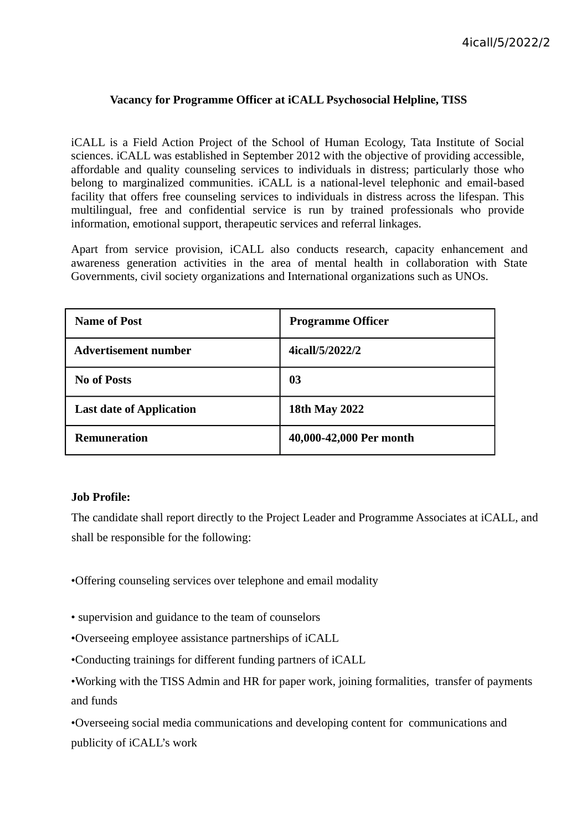## **Vacancy for Programme Officer at iCALL Psychosocial Helpline, TISS**

iCALL is a Field Action Project of the School of Human Ecology, Tata Institute of Social sciences. iCALL was established in September 2012 with the objective of providing accessible, affordable and quality counseling services to individuals in distress; particularly those who belong to marginalized communities. iCALL is a national-level telephonic and email-based facility that offers free counseling services to individuals in distress across the lifespan. This multilingual, free and confidential service is run by trained professionals who provide information, emotional support, therapeutic services and referral linkages.

Apart from service provision, iCALL also conducts research, capacity enhancement and awareness generation activities in the area of mental health in collaboration with State Governments, civil society organizations and International organizations such as UNOs.

| <b>Name of Post</b>             | <b>Programme Officer</b> |
|---------------------------------|--------------------------|
| <b>Advertisement number</b>     | 4icall/5/2022/2          |
| <b>No of Posts</b>              | 03                       |
| <b>Last date of Application</b> | 18th May 2022            |
| <b>Remuneration</b>             | 40,000-42,000 Per month  |

## **Job Profile:**

The candidate shall report directly to the Project Leader and Programme Associates at iCALL, and shall be responsible for the following:

•Offering counseling services over telephone and email modality

- supervision and guidance to the team of counselors
- •Overseeing employee assistance partnerships of iCALL
- •Conducting trainings for different funding partners of iCALL

•Overseeing social media communications and developing content for communications and publicity of iCALL's work

<sup>•</sup>Working with the TISS Admin and HR for paper work, joining formalities, transfer of payments and funds